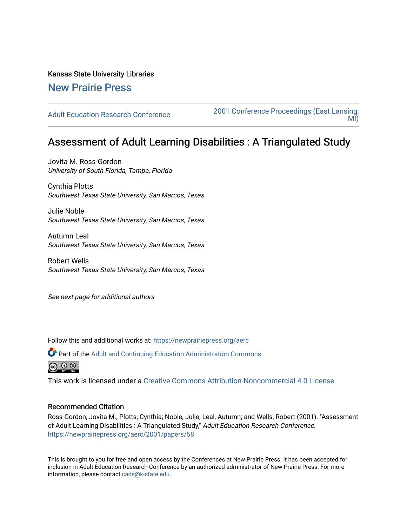# Kansas State University Libraries

# [New Prairie Press](https://newprairiepress.org/)

[Adult Education Research Conference](https://newprairiepress.org/aerc) [2001 Conference Proceedings \(East Lansing,](https://newprairiepress.org/aerc/2001)  [MI\)](https://newprairiepress.org/aerc/2001) 

# Assessment of Adult Learning Disabilities : A Triangulated Study

Jovita M. Ross-Gordon University of South Florida, Tampa, Florida

Cynthia Plotts Southwest Texas State University, San Marcos, Texas

Julie Noble Southwest Texas State University, San Marcos, Texas

Autumn Leal Southwest Texas State University, San Marcos, Texas

Robert Wells Southwest Texas State University, San Marcos, Texas

See next page for additional authors

Follow this and additional works at: [https://newprairiepress.org/aerc](https://newprairiepress.org/aerc?utm_source=newprairiepress.org%2Faerc%2F2001%2Fpapers%2F58&utm_medium=PDF&utm_campaign=PDFCoverPages)

Part of the [Adult and Continuing Education Administration Commons](http://network.bepress.com/hgg/discipline/789?utm_source=newprairiepress.org%2Faerc%2F2001%2Fpapers%2F58&utm_medium=PDF&utm_campaign=PDFCoverPages) @ 0 ®

This work is licensed under a [Creative Commons Attribution-Noncommercial 4.0 License](https://creativecommons.org/licenses/by-nc/4.0/)

# Recommended Citation

Ross-Gordon, Jovita M.; Plotts, Cynthia; Noble, Julie; Leal, Autumn; and Wells, Robert (2001). "Assessment of Adult Learning Disabilities : A Triangulated Study," Adult Education Research Conference. <https://newprairiepress.org/aerc/2001/papers/58>

This is brought to you for free and open access by the Conferences at New Prairie Press. It has been accepted for inclusion in Adult Education Research Conference by an authorized administrator of New Prairie Press. For more information, please contact [cads@k-state.edu](mailto:cads@k-state.edu).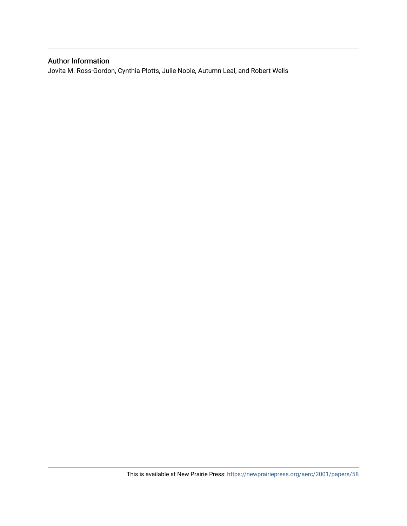# Author Information

Jovita M. Ross-Gordon, Cynthia Plotts, Julie Noble, Autumn Leal, and Robert Wells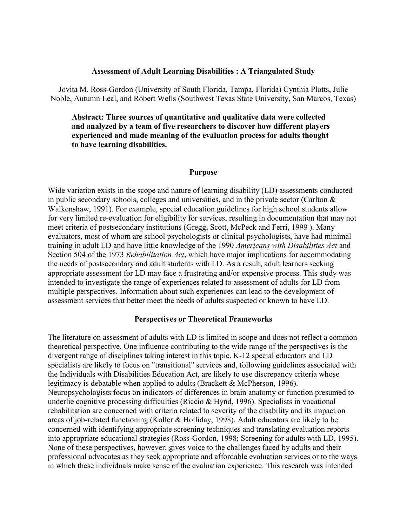#### **Assessment of Adult Learning Disabilities : A Triangulated Study**

Jovita M. Ross-Gordon (University of South Florida, Tampa, Florida) Cynthia Plotts, Julie Noble, Autumn Leal, and Robert Wells (Southwest Texas State University, San Marcos, Texas)

**Abstract: Three sources of quantitative and qualitative data were collected and analyzed by a team of five researchers to discover how different players experienced and made meaning of the evaluation process for adults thought to have learning disabilities.** 

#### **Purpose**

Wide variation exists in the scope and nature of learning disability (LD) assessments conducted in public secondary schools, colleges and universities, and in the private sector (Carlton  $\&$ Walkenshaw, 1991). For example, special education guidelines for high school students allow for very limited re-evaluation for eligibility for services, resulting in documentation that may not meet criteria of postsecondary institutions (Gregg, Scott, McPeck and Ferri, 1999 ). Many evaluators, most of whom are school psychologists or clinical psychologists, have had minimal training in adult LD and have little knowledge of the 1990 *Americans with Disabilities Act* and Section 504 of the 1973 *Rehabilitation Act*, which have major implications for accommodating the needs of postsecondary and adult students with LD. As a result, adult learners seeking appropriate assessment for LD may face a frustrating and/or expensive process. This study was intended to investigate the range of experiences related to assessment of adults for LD from multiple perspectives. Information about such experiences can lead to the development of assessment services that better meet the needs of adults suspected or known to have LD.

#### **Perspectives or Theoretical Frameworks**

The literature on assessment of adults with LD is limited in scope and does not reflect a common theoretical perspective. One influence contributing to the wide range of the perspectives is the divergent range of disciplines taking interest in this topic. K-12 special educators and LD specialists are likely to focus on "transitional" services and, following guidelines associated with the Individuals with Disabilities Education Act, are likely to use discrepancy criteria whose legitimacy is debatable when applied to adults (Brackett & McPherson, 1996). Neuropsychologists focus on indicators of differences in brain anatomy or function presumed to underlie cognitive processing difficulties (Riccio & Hynd, 1996). Specialists in vocational rehabilitation are concerned with criteria related to severity of the disability and its impact on areas of job-related functioning (Koller & Holliday, 1998). Adult educators are likely to be concerned with identifying appropriate screening techniques and translating evaluation reports into appropriate educational strategies (Ross-Gordon, 1998; Screening for adults with LD, 1995). None of these perspectives, however, gives voice to the challenges faced by adults and their professional advocates as they seek appropriate and affordable evaluation services or to the ways in which these individuals make sense of the evaluation experience. This research was intended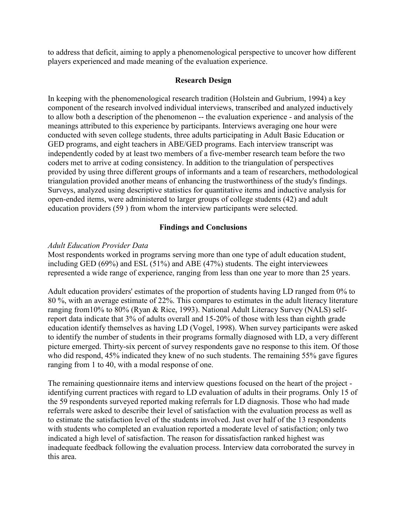to address that deficit, aiming to apply a phenomenological perspective to uncover how different players experienced and made meaning of the evaluation experience.

#### **Research Design**

In keeping with the phenomenological research tradition (Holstein and Gubrium, 1994) a key component of the research involved individual interviews, transcribed and analyzed inductively to allow both a description of the phenomenon -- the evaluation experience - and analysis of the meanings attributed to this experience by participants. Interviews averaging one hour were conducted with seven college students, three adults participating in Adult Basic Education or GED programs, and eight teachers in ABE/GED programs. Each interview transcript was independently coded by at least two members of a five-member research team before the two coders met to arrive at coding consistency. In addition to the triangulation of perspectives provided by using three different groups of informants and a team of researchers, methodological triangulation provided another means of enhancing the trustworthiness of the study's findings. Surveys, analyzed using descriptive statistics for quantitative items and inductive analysis for open-ended items, were administered to larger groups of college students (42) and adult education providers (59 ) from whom the interview participants were selected.

#### **Findings and Conclusions**

#### *Adult Education Provider Data*

Most respondents worked in programs serving more than one type of adult education student, including GED (69%) and ESL (51%) and ABE (47%) students. The eight interviewees represented a wide range of experience, ranging from less than one year to more than 25 years.

Adult education providers' estimates of the proportion of students having LD ranged from 0% to 80 %, with an average estimate of 22%. This compares to estimates in the adult literacy literature ranging from10% to 80% (Ryan & Rice, 1993). National Adult Literacy Survey (NALS) selfreport data indicate that 3% of adults overall and 15-20% of those with less than eighth grade education identify themselves as having LD (Vogel, 1998). When survey participants were asked to identify the number of students in their programs formally diagnosed with LD, a very different picture emerged. Thirty-six percent of survey respondents gave no response to this item. Of those who did respond, 45% indicated they knew of no such students. The remaining 55% gave figures ranging from 1 to 40, with a modal response of one.

The remaining questionnaire items and interview questions focused on the heart of the project identifying current practices with regard to LD evaluation of adults in their programs. Only 15 of the 59 respondents surveyed reported making referrals for LD diagnosis. Those who had made referrals were asked to describe their level of satisfaction with the evaluation process as well as to estimate the satisfaction level of the students involved. Just over half of the 13 respondents with students who completed an evaluation reported a moderate level of satisfaction; only two indicated a high level of satisfaction. The reason for dissatisfaction ranked highest was inadequate feedback following the evaluation process. Interview data corroborated the survey in this area.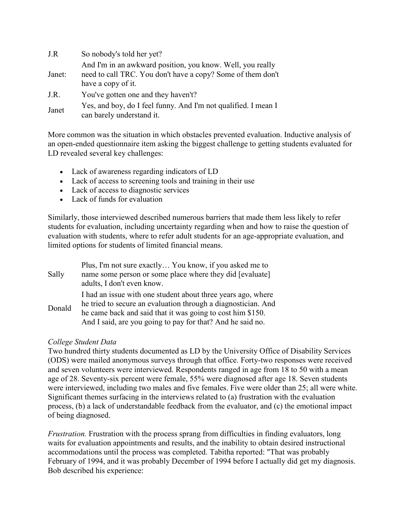| J.R    | So nobody's told her yet?                                                                                                                       |
|--------|-------------------------------------------------------------------------------------------------------------------------------------------------|
| Janet: | And I'm in an awkward position, you know. Well, you really<br>need to call TRC. You don't have a copy? Some of them don't<br>have a copy of it. |
| J.R.   | You've gotten one and they haven't?                                                                                                             |
| Janet  | Yes, and boy, do I feel funny. And I'm not qualified. I mean I<br>can barely understand it.                                                     |

More common was the situation in which obstacles prevented evaluation. Inductive analysis of an open-ended questionnaire item asking the biggest challenge to getting students evaluated for LD revealed several key challenges:

- Lack of awareness regarding indicators of LD
- Lack of access to screening tools and training in their use
- Lack of access to diagnostic services
- Lack of funds for evaluation

Similarly, those interviewed described numerous barriers that made them less likely to refer students for evaluation, including uncertainty regarding when and how to raise the question of evaluation with students, where to refer adult students for an age-appropriate evaluation, and limited options for students of limited financial means.

| Sally  | Plus, I'm not sure exactly You know, if you asked me to<br>name some person or some place where they did [evaluate]<br>adults, I don't even know.                                                                                                         |
|--------|-----------------------------------------------------------------------------------------------------------------------------------------------------------------------------------------------------------------------------------------------------------|
| Donald | I had an issue with one student about three years ago, where<br>he tried to secure an evaluation through a diagnostician. And<br>he came back and said that it was going to cost him \$150.<br>And I said, are you going to pay for that? And he said no. |

### *College Student Data*

Two hundred thirty students documented as LD by the University Office of Disability Services (ODS) were mailed anonymous surveys through that office. Forty-two responses were received and seven volunteers were interviewed. Respondents ranged in age from 18 to 50 with a mean age of 28. Seventy-six percent were female, 55% were diagnosed after age 18. Seven students were interviewed, including two males and five females. Five were older than 25; all were white. Significant themes surfacing in the interviews related to (a) frustration with the evaluation process, (b) a lack of understandable feedback from the evaluator, and (c) the emotional impact of being diagnosed.

*Frustration.* Frustration with the process sprang from difficulties in finding evaluators, long waits for evaluation appointments and results, and the inability to obtain desired instructional accommodations until the process was completed. Tabitha reported: "That was probably February of 1994, and it was probably December of 1994 before I actually did get my diagnosis. Bob described his experience: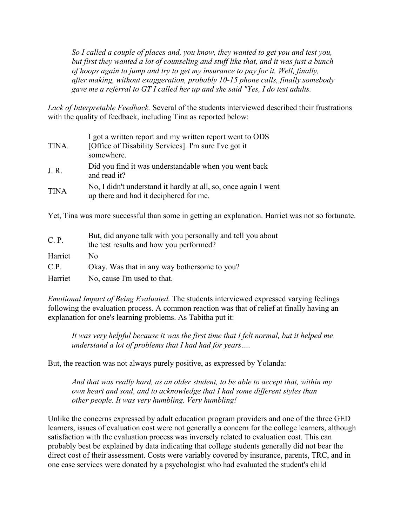*So I called a couple of places and, you know, they wanted to get you and test you, but first they wanted a lot of counseling and stuff like that, and it was just a bunch of hoops again to jump and try to get my insurance to pay for it. Well, finally, after making, without exaggeration, probably 10-15 phone calls, finally somebody gave me a referral to GT I called her up and she said "Yes, I do test adults.*

*Lack of Interpretable Feedback.* Several of the students interviewed described their frustrations with the quality of feedback, including Tina as reported below:

| TINA.       | I got a written report and my written report went to ODS<br>[Office of Disability Services]. I'm sure I've got it<br>somewhere. |
|-------------|---------------------------------------------------------------------------------------------------------------------------------|
| J. R.       | Did you find it was understandable when you went back<br>and read it?                                                           |
| <b>TINA</b> | No, I didn't understand it hardly at all, so, once again I went<br>up there and had it deciphered for me.                       |

Yet, Tina was more successful than some in getting an explanation. Harriet was not so fortunate.

| C. P.   | But, did anyone talk with you personally and tell you about<br>the test results and how you performed? |
|---------|--------------------------------------------------------------------------------------------------------|
| Harriet | No.                                                                                                    |
| C.P.    | Okay. Was that in any way bothersome to you?                                                           |
| Harriet | No, cause I'm used to that.                                                                            |

*Emotional Impact of Being Evaluated.* The students interviewed expressed varying feelings following the evaluation process. A common reaction was that of relief at finally having an explanation for one's learning problems. As Tabitha put it:

*It was very helpful because it was the first time that I felt normal, but it helped me understand a lot of problems that I had had for years….* 

But, the reaction was not always purely positive, as expressed by Yolanda:

*And that was really hard, as an older student, to be able to accept that, within my own heart and soul, and to acknowledge that I had some different styles than other people. It was very humbling. Very humbling!*

Unlike the concerns expressed by adult education program providers and one of the three GED learners, issues of evaluation cost were not generally a concern for the college learners, although satisfaction with the evaluation process was inversely related to evaluation cost. This can probably best be explained by data indicating that college students generally did not bear the direct cost of their assessment. Costs were variably covered by insurance, parents, TRC, and in one case services were donated by a psychologist who had evaluated the student's child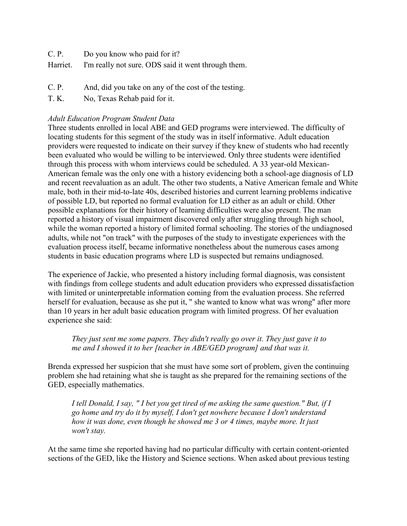C. P. Do you know who paid for it?

Harriet. I'm really not sure. ODS said it went through them.

- C. P. And, did you take on any of the cost of the testing.
- T. K. No, Texas Rehab paid for it.

## *Adult Education Program Student Data*

Three students enrolled in local ABE and GED programs were interviewed. The difficulty of locating students for this segment of the study was in itself informative. Adult education providers were requested to indicate on their survey if they knew of students who had recently been evaluated who would be willing to be interviewed. Only three students were identified through this process with whom interviews could be scheduled. A 33 year-old Mexican-American female was the only one with a history evidencing both a school-age diagnosis of LD and recent reevaluation as an adult. The other two students, a Native American female and White male, both in their mid-to-late 40s, described histories and current learning problems indicative of possible LD, but reported no formal evaluation for LD either as an adult or child. Other possible explanations for their history of learning difficulties were also present. The man reported a history of visual impairment discovered only after struggling through high school, while the woman reported a history of limited formal schooling. The stories of the undiagnosed adults, while not "on track" with the purposes of the study to investigate experiences with the evaluation process itself, became informative nonetheless about the numerous cases among students in basic education programs where LD is suspected but remains undiagnosed.

The experience of Jackie, who presented a history including formal diagnosis, was consistent with findings from college students and adult education providers who expressed dissatisfaction with limited or uninterpretable information coming from the evaluation process. She referred herself for evaluation, because as she put it, " she wanted to know what was wrong" after more than 10 years in her adult basic education program with limited progress. Of her evaluation experience she said:

#### *They just sent me some papers. They didn't really go over it. They just gave it to me and I showed it to her [teacher in ABE/GED program] and that was it.*

Brenda expressed her suspicion that she must have some sort of problem, given the continuing problem she had retaining what she is taught as she prepared for the remaining sections of the GED, especially mathematics.

*I tell Donald, I say, " I bet you get tired of me asking the same question." But, if I go home and try do it by myself, I don't get nowhere because I don't understand how it was done, even though he showed me 3 or 4 times, maybe more. It just won't stay.* 

At the same time she reported having had no particular difficulty with certain content-oriented sections of the GED, like the History and Science sections. When asked about previous testing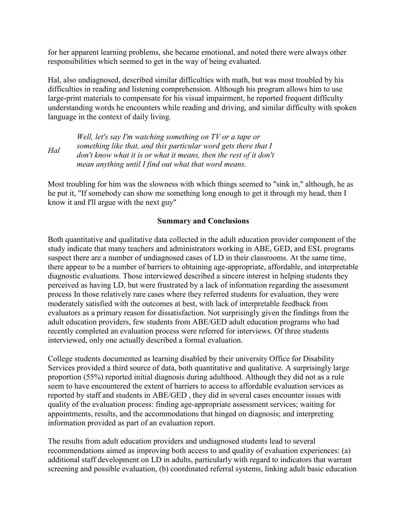for her apparent learning problems, she became emotional, and noted there were always other responsibilities which seemed to get in the way of being evaluated.

Hal, also undiagnosed, described similar difficulties with math, but was most troubled by his difficulties in reading and listening comprehension. Although his program allows him to use large-print materials to compensate for his visual impairment, he reported frequent difficulty understanding words he encounters while reading and driving, and similar difficulty with spoken language in the context of daily living.

*Hal Well, let's say I'm watching something on TV or a tape or something like that, and this particular word gets there that I don't know what it is or what it means, then the rest of it don't mean anything until I find out what that word means.* 

Most troubling for him was the slowness with which things seemed to "sink in," although, he as he put it, "If somebody can show me something long enough to get it through my head, then I know it and I'll argue with the next guy"

#### **Summary and Conclusions**

Both quantitative and qualitative data collected in the adult education provider component of the study indicate that many teachers and administrators working in ABE, GED, and ESL programs suspect there are a number of undiagnosed cases of LD in their classrooms. At the same time, there appear to be a number of barriers to obtaining age-appropriate, affordable, and interpretable diagnostic evaluations. Those interviewed described a sincere interest in helping students they perceived as having LD, but were frustrated by a lack of information regarding the assessment process In those relatively rare cases where they referred students for evaluation, they were moderately satisfied with the outcomes at best, with lack of interpretable feedback from evaluators as a primary reason for dissatisfaction. Not surprisingly given the findings from the adult education providers, few students from ABE/GED adult education programs who had recently completed an evaluation process were referred for interviews. Of three students interviewed, only one actually described a formal evaluation.

College students documented as learning disabled by their university Office for Disability Services provided a third source of data, both quantitative and qualitative. A surprisingly large proportion (55%) reported initial diagnosis during adulthood. Although they did not as a rule seem to have encountered the extent of barriers to access to affordable evaluation services as reported by staff and students in ABE/GED , they did in several cases encounter issues with quality of the evaluation process: finding age-appropriate assessment services; waiting for appointments, results, and the accommodations that hinged on diagnosis; and interpreting information provided as part of an evaluation report.

The results from adult education providers and undiagnosed students lead to several recommendations aimed as improving both access to and quality of evaluation experiences: (a) additional staff development on LD in adults, particularly with regard to indicators that warrant screening and possible evaluation, (b) coordinated referral systems, linking adult basic education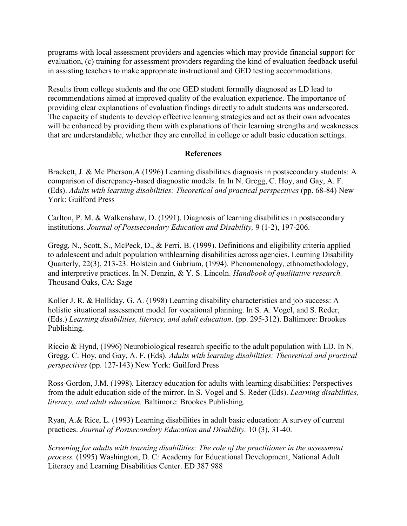programs with local assessment providers and agencies which may provide financial support for evaluation, (c) training for assessment providers regarding the kind of evaluation feedback useful in assisting teachers to make appropriate instructional and GED testing accommodations.

Results from college students and the one GED student formally diagnosed as LD lead to recommendations aimed at improved quality of the evaluation experience. The importance of providing clear explanations of evaluation findings directly to adult students was underscored. The capacity of students to develop effective learning strategies and act as their own advocates will be enhanced by providing them with explanations of their learning strengths and weaknesses that are understandable, whether they are enrolled in college or adult basic education settings.

### **References**

Brackett, J. & Mc Pherson,A.(1996) Learning disabilities diagnosis in postsecondary students: A comparison of discrepancy-based diagnostic models. In In N. Gregg, C. Hoy, and Gay, A. F. (Eds). *Adults with learning disabilities: Theoretical and practical perspectives* (pp. 68-84) New York: Guilford Press

Carlton, P. M. & Walkenshaw, D. (1991). Diagnosis of learning disabilities in postsecondary institutions. *Journal of Postsecondary Education and Disability,* 9 (1-2), 197-206.

Gregg, N., Scott, S., McPeck, D., & Ferri, B. (1999). Definitions and eligibility criteria applied to adolescent and adult population withlearning disabilities across agencies. Learning Disability Quarterly, 22(3), 213-23. Holstein and Gubrium, (1994). Phenomenology, ethnomethodology, and interpretive practices. In N. Denzin, & Y. S. Lincoln. *Handbook of qualitative research.* Thousand Oaks, CA: Sage

Koller J. R. & Holliday, G. A. (1998) Learning disability characteristics and job success: A holistic situational assessment model for vocational planning. In S. A. Vogel, and S. Reder, (Eds.) *Learning disabilities, literacy, and adult education*. (pp. 295-312). Baltimore: Brookes Publishing.

Riccio & Hynd, (1996) Neurobiological research specific to the adult population with LD. In N. Gregg, C. Hoy, and Gay, A. F. (Eds). *Adults with learning disabilities: Theoretical and practical perspectives* (pp. 127-143) New York: Guilford Press

Ross-Gordon, J.M. (1998). Literacy education for adults with learning disabilities: Perspectives from the adult education side of the mirror. In S. Vogel and S. Reder (Eds). *Learning disabilities, literacy, and adult education.* Baltimore: Brookes Publishing.

Ryan, A.& Rice, L. (1993) Learning disabilities in adult basic education: A survey of current practices. *Journal of Postsecondary Education and Disability.* 10 (3), 31-40.

*Screening for adults with learning disabilities: The role of the practitioner in the assessment process.* (1995) Washington, D. C: Academy for Educational Development, National Adult Literacy and Learning Disabilities Center. ED 387 988